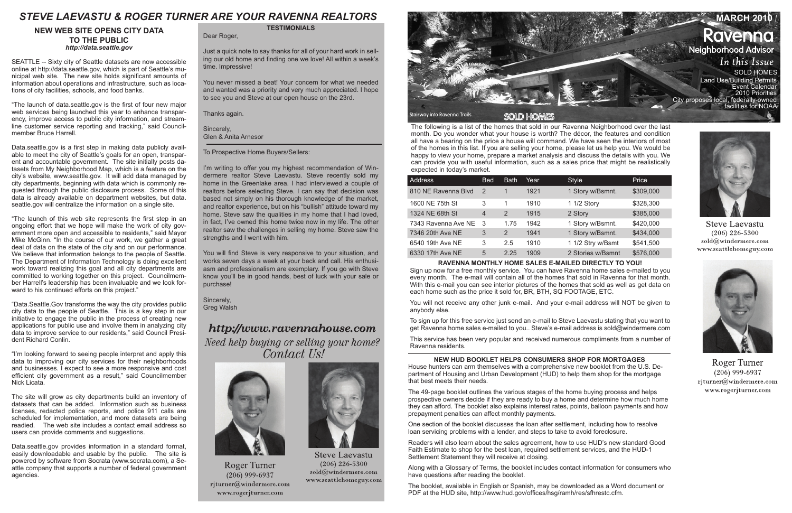The following is a list of the homes that sold in our Ravenna Neighborhood over the last month. Do you wonder what your house is worth? The décor, the features and condition all have a bearing on the price a house will command. We have seen the interiors of most of the homes in this list. If you are selling your home, please let us help you. We would be happy to view your home, prepare a market analysis and discuss the details with you. We can provide you with useful information, such as a sales price that might be realistically expected in today's market.

| <b>Address</b>      | <b>Bed</b> | <b>Bath</b> | Year | <b>Style</b>      | Price     |
|---------------------|------------|-------------|------|-------------------|-----------|
| 810 NE Ravenna Blvd | 2          | 1           | 1921 | 1 Story w/Bsmnt.  | \$309,000 |
| 1600 NE 75th St     | 3          | 1           | 1910 | 1 1/2 Story       | \$328,300 |
| 1324 NE 68th St     | 4          | 2           | 1915 | 2 Story           | \$385,000 |
| 7343 Ravenna Ave NE | 3          | 1.75        | 1942 | 1 Story w/Bsmnt.  | \$420,000 |
| 7346 20th Ave NE    | 3          | 2           | 1941 | 1 Story w/Bsmnt.  | \$434,000 |
| 6540 19th Ave NE    | 3          | 2.5         | 1910 | 1 1/2 Stry w/Bsmt | \$541,500 |
| 6330 17th Ave NE    | 5          | 2.25        | 1909 | 2 Stories w/Bsmnt | \$576,000 |

#### **RAVENNA MONTHLY HOME SALES E-MAILED DIRECTLY TO YOU!**

Sign up now for a free monthly service. You can have Ravenna home sales e-mailed to you every month. The e-mail will contain all of the homes that sold in Ravenna for that month. With this e-mail you can see interior pictures of the homes that sold as well as get data on each home such as the price it sold for, BR, BTH, SQ FOOTAGE, ETC.

You will not receive any other junk e-mail. And your e-mail address will NOT be given to anybody else.



To sign up for this free service just send an e-mail to Steve Laevastu stating that you want to get Ravenna home sales e-mailed to you.. Steve's e-mail address is sold@windermere.com

This service has been very popular and received numerous compliments from a number of Ravenna residents.

### **TESTIMONIALS**

Dear Roger,

Just a quick note to say thanks for all of your hard work in selling our old home and finding one we love! All within a week's time. Impressive!

You never missed a beat! Your concern for what we needed and wanted was a priority and very much appreciated. I hope to see you and Steve at our open house on the 23rd.

Thanks again.

Sincerely, Glen & Anita Arnesor

To Prospective Home Buyers/Sellers:

I'm writing to offer you my highest recommendation of Windermere realtor Steve Laevastu. Steve recently sold my home in the Greenlake area. I had interviewed a couple of realtors before selecting Steve. I can say that decision was based not simply on his thorough knowledge of the market, and realtor experience, but on his "bullish" attitude toward my home. Steve saw the qualities in my home that I had loved, in fact, I've owned this home twice now in my life. The other realtor saw the challenges in selling my home. Steve saw the strengths and I went with him.

You will find Steve is very responsive to your situation, and works seven days a week at your beck and call. His enthusiasm and professionalism are exemplary. If you go with Steve know you'll be in good hands, best of luck with your sale or purchase!

Sincerely, Greg Walsh

# http://www.ravennahouse.com

Need help buying or selling your home? Contact Us!



**Roger Turner**  $(206)$  999-6937 rjturner@windermere.com www.rogerjturner.com



**Steve Laevastu**  $(206)$  226-5300  $\mathrm{solid}(\widehat{a})$ windermere.com www.seattlehomeguy.com

#### **NEW WEB SITE OPENS CITY DATA TO THE PUBLIC** *http://data.seattle.gov*

SEATTLE -- Sixty city of Seattle datasets are now accessible online at http://data.seattle.gov, which is part of Seattle's municipal web site. The new site holds significant amounts of information about operations and infrastructure, such as locations of city facilities, schools, and food banks.

"The launch of data.seattle.gov is the first of four new major web services being launched this year to enhance transparency, improve access to public city information, and streamline customer service reporting and tracking," said Councilmember Bruce Harrell.

Data.seattle.gov is a first step in making data publicly available to meet the city of Seattle's goals for an open, transparent and accountable government. The site initially posts datasets from My Neighborhood Map, which is a feature on the city's website, www.seattle.gov. It will add data managed by city departments, beginning with data which is commonly requested through the public disclosure process. Some of this data is already available on department websites, but data. seattle.gov will centralize the information on a single site.

"The launch of this web site represents the first step in an ongoing effort that we hope will make the work of city government more open and accessible to residents," said Mayor Mike McGinn. "In the course of our work, we gather a great deal of data on the state of the city and on our performance. We believe that information belongs to the people of Seattle. The Department of Information Technology is doing excellent work toward realizing this goal and all city departments are committed to working together on this project. Councilmember Harrell's leadership has been invaluable and we look forward to his continued efforts on this project."

"Data.Seattle.Gov transforms the way the city provides public city data to the people of Seattle. This is a key step in our initiative to engage the public in the process of creating new applications for public use and involve them in analyzing city data to improve service to our residents," said Council President Richard Conlin.

"I'm looking forward to seeing people interpret and apply this data to improving our city services for their neighborhoods and businesses. I expect to see a more responsive and cost efficient city government as a result," said Councilmember Nick Licata.

The site will grow as city departments build an inventory of datasets that can be added. Information such as business licenses, redacted police reports, and police 911 calls are scheduled for implementation, and more datasets are being readied. The web site includes a contact email address so users can provide comments and suggestions.

Data.seattle.gov provides information in a standard format, easily downloadable and usable by the public. The site is powered by software from Socrata (www.socrata.com), a Seattle company that supports a number of federal government agencies.

## **NEW HUD BOOKLET HELPS CONSUMERS SHOP FOR MORTGAGES**

House hunters can arm themselves with a comprehensive new booklet from the U.S. Department of Housing and Urban Development (HUD) to help them shop for the mortgage that best meets their needs.

The 49-page booklet outlines the various stages of the home buying process and helps prospective owners decide if they are ready to buy a home and determine how much home they can afford. The booklet also explains interest rates, points, balloon payments and how prepayment penalties can affect monthly payments.

One section of the booklet discusses the loan after settlement, including how to resolve loan servicing problems with a lender, and steps to take to avoid foreclosure.

Readers will also learn about the sales agreement, how to use HUD's new standard Good Faith Estimate to shop for the best loan, required settlement services, and the HUD-1 Settlement Statement they will receive at closing.

Along with a Glossary of Terms, the booklet includes contact information for consumers who have questions after reading the booklet.

The booklet, available in English or Spanish, may be downloaded as a Word document or PDF at the HUD site, http://www.hud.gov/offices/hsg/ramh/res/sfhrestc.cfm.



**Steve Laevastu**  $(206)$  226-5300 sold@windermere.com www.seattlehomeguy.com



**Roger Turner**  $(206)$  999-6937 rjturner@windermere.com www.rogerjturner.com